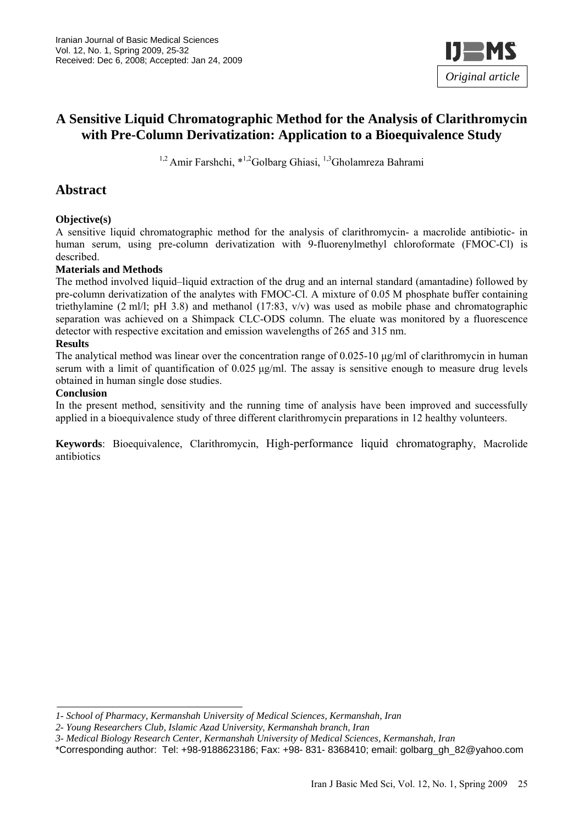

## **A Sensitive Liquid Chromatographic Method for the Analysis of Clarithromycin with Pre-Column Derivatization: Application to a Bioequivalence Study**

<sup>1,2</sup> Amir Farshchi, \*<sup>1,2</sup>Golbarg Ghiasi, <sup>1,3</sup>Gholamreza Bahrami

### **Abstract**

#### **Objective(s)**

A sensitive liquid chromatographic method for the analysis of clarithromycin- a macrolide antibiotic- in human serum, using pre-column derivatization with 9-fluorenylmethyl chloroformate (FMOC-Cl) is described.

#### **Materials and Methods**

The method involved liquid–liquid extraction of the drug and an internal standard (amantadine) followed by pre-column derivatization of the analytes with FMOC-Cl. A mixture of 0.05 M phosphate buffer containing triethylamine (2 ml/l; pH 3.8) and methanol (17:83,  $v/v$ ) was used as mobile phase and chromatographic separation was achieved on a Shimpack CLC-ODS column. The eluate was monitored by a fluorescence detector with respective excitation and emission wavelengths of 265 and 315 nm.

#### **Results**

The analytical method was linear over the concentration range of  $0.025$ -10  $\mu$ g/ml of clarithromycin in human serum with a limit of quantification of  $0.025 \mu g/ml$ . The assay is sensitive enough to measure drug levels obtained in human single dose studies.

#### **Conclusion**

In the present method, sensitivity and the running time of analysis have been improved and successfully applied in a bioequivalence study of three different clarithromycin preparations in 12 healthy volunteers.

**Keywords**: Bioequivalence, Clarithromycin, High-performance liquid chromatography, Macrolide antibiotics

*<sup>1-</sup> School of Pharmacy, Kermanshah University of Medical Sciences, Kermanshah, Iran* 

*<sup>2-</sup> Young Researchers Club, Islamic Azad University, Kermanshah branch, Iran* 

*<sup>3-</sup> Medical Biology Research Center, Kermanshah University of Medical Sciences, Kermanshah, Iran* 

<sup>\*</sup>Corresponding author: Tel: +98-9188623186; Fax: +98- 831- 8368410; email: golbarg\_gh\_82@yahoo.com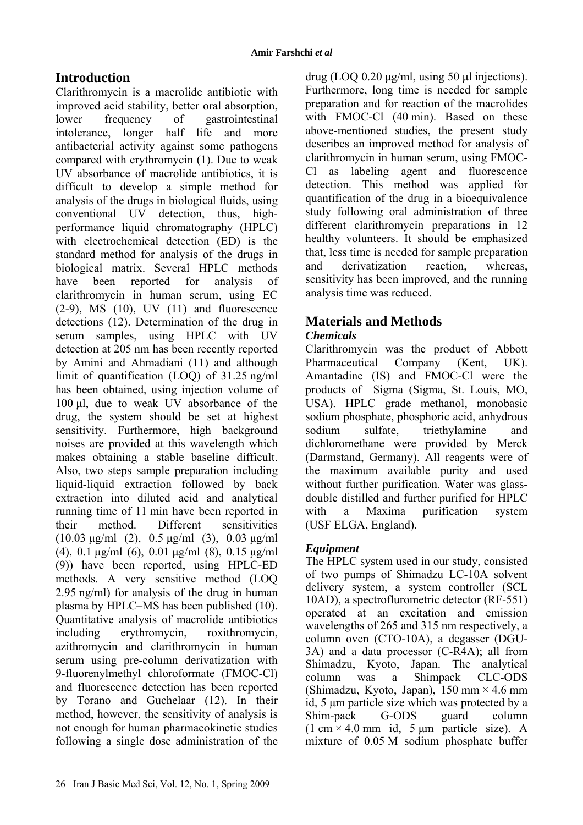## **Introduction**

Clarithromycin is a macrolide antibiotic with improved acid stability, better oral absorption, lower frequency of gastrointestinal intolerance, longer half life and more antibacterial activity against some pathogens compared with erythromycin (1). Due to weak UV absorbance of macrolide antibiotics, it is difficult to develop a simple method for analysis of the drugs in biological fluids, using conventional UV detection, thus, highperformance liquid chromatography (HPLC) with electrochemical detection (ED) is the standard method for analysis of the drugs in biological matrix. Several HPLC methods have been reported for analysis of clarithromycin in human serum, using EC  $(2-9)$ , MS  $(10)$ , UV  $(11)$  and fluorescence detections (12). Determination of the drug in serum samples, using HPLC with UV detection at 205 nm has been recently reported by Amini and Ahmadiani (11) and although limit of quantification (LOQ) of 31.25 ng/ml has been obtained, using injection volume of 100 µl, due to weak UV absorbance of the drug, the system should be set at highest sensitivity. Furthermore, high background noises are provided at this wavelength which makes obtaining a stable baseline difficult. Also, two steps sample preparation including liquid-liquid extraction followed by back extraction into diluted acid and analytical running time of 11 min have been reported in their method. Different sensitivities (10.03 µg/ml (2), 0.5 µg/ml (3), 0.03 µg/ml (4), 0.1 µg/ml (6), 0.01 µg/ml (8), 0.15 µg/ml (9)) have been reported, using HPLC-ED methods. A very sensitive method (LOQ 2.95 ng/ml) for analysis of the drug in human plasma by HPLC–MS has been published (10). Quantitative analysis of macrolide antibiotics including erythromycin, roxithromycin, azithromycin and clarithromycin in human serum using pre-column derivatization with 9-fluorenylmethyl chloroformate (FMOC-Cl) and fluorescence detection has been reported by Torano and Guchelaar (12). In their method, however, the sensitivity of analysis is not enough for human pharmacokinetic studies following a single dose administration of the

drug (LOQ 0.20 µg/ml, using 50 µl injections). Furthermore, long time is needed for sample preparation and for reaction of the macrolides with FMOC-Cl (40 min). Based on these above-mentioned studies, the present study describes an improved method for analysis of clarithromycin in human serum, using FMOC-Cl as labeling agent and fluorescence detection. This method was applied for quantification of the drug in a bioequivalence study following oral administration of three different clarithromycin preparations in 12 healthy volunteers. It should be emphasized that, less time is needed for sample preparation and derivatization reaction, whereas, sensitivity has been improved, and the running analysis time was reduced.

# **Materials and Methods**

## *Chemicals*

Clarithromycin was the product of Abbott Pharmaceutical Company (Kent, UK). Amantadine (IS) and FMOC-Cl were the products of Sigma (Sigma, St. Louis, MO, USA). HPLC grade methanol, monobasic sodium phosphate, phosphoric acid, anhydrous sodium sulfate, triethylamine and dichloromethane were provided by Merck (Darmstand, Germany). All reagents were of the maximum available purity and used without further purification. Water was glassdouble distilled and further purified for HPLC with a Maxima purification system (USF ELGA, England).

## *Equipment*

The HPLC system used in our study, consisted of two pumps of Shimadzu LC-10A solvent delivery system, a system controller (SCL 10AD), a spectroflurometric detector (RF-551) operated at an excitation and emission wavelengths of 265 and 315 nm respectively, a column oven (CTO-10A), a degasser (DGU-3A) and a data processor (C-R4A); all from Shimadzu, Kyoto, Japan. The analytical column was a Shimpack CLC-ODS (Shimadzu, Kyoto, Japan),  $150 \text{ mm} \times 4.6 \text{ mm}$ id, 5 µm particle size which was protected by a Shim-pack G-ODS guard column  $(1 \text{ cm} \times 4.0 \text{ mm} \text{ id}, 5 \text{ µm} \text{ particle size}).$  A mixture of 0.05 M sodium phosphate buffer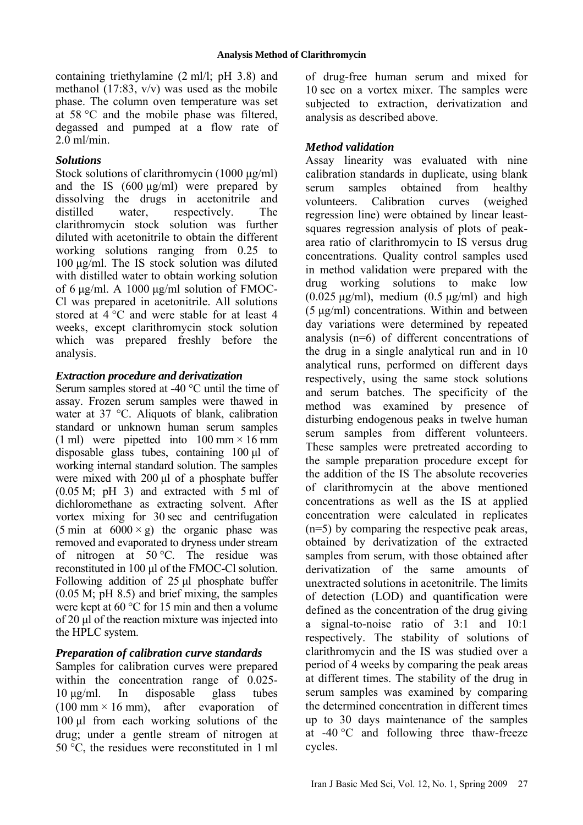containing triethylamine (2 ml/l; pH 3.8) and methanol (17:83, v/v) was used as the mobile phase. The column oven temperature was set at 58 °C and the mobile phase was filtered, degassed and pumped at a flow rate of 2.0 ml/min.

#### *Solutions*

Stock solutions of clarithromycin (1000 µg/ml) and the IS  $(600 \mu g/ml)$  were prepared by dissolving the drugs in acetonitrile and distilled water, respectively. The clarithromycin stock solution was further diluted with acetonitrile to obtain the different working solutions ranging from 0.25 to 100 µg/ml. The IS stock solution was diluted with distilled water to obtain working solution of 6  $\mu$ g/ml. A 1000  $\mu$ g/ml solution of FMOC-Cl was prepared in acetonitrile. All solutions stored at 4 °C and were stable for at least 4 weeks, except clarithromycin stock solution which was prepared freshly before the analysis.

### *Extraction procedure and derivatization*

Serum samples stored at -40 °C until the time of assay. Frozen serum samples were thawed in water at 37 °C. Aliquots of blank, calibration standard or unknown human serum samples (1 ml) were pipetted into  $100 \text{ mm} \times 16 \text{ mm}$ disposable glass tubes, containing 100 µl of working internal standard solution. The samples were mixed with 200 ul of a phosphate buffer (0.05 M; pH 3) and extracted with 5 ml of dichloromethane as extracting solvent. After vortex mixing for 30 sec and centrifugation (5 min at  $6000 \times g$ ) the organic phase was removed and evaporated to dryness under stream of nitrogen at 50 °C. The residue was reconstituted in 100 µl of the FMOC-Cl solution. Following addition of  $25 \mu l$  phosphate buffer (0.05 M; pH 8.5) and brief mixing, the samples were kept at 60 °C for 15 min and then a volume of 20 µl of the reaction mixture was injected into the HPLC system.

### *Preparation of calibration curve standards*

Samples for calibration curves were prepared within the concentration range of 0.025-10 µg/ml. In disposable glass tubes  $(100 \text{ mm} \times 16 \text{ mm})$ , after evaporation of 100 µl from each working solutions of the drug; under a gentle stream of nitrogen at 50 °C, the residues were reconstituted in 1 ml of drug-free human serum and mixed for 10 sec on a vortex mixer. The samples were subjected to extraction, derivatization and analysis as described above.

### *Method validation*

Assay linearity was evaluated with nine calibration standards in duplicate, using blank serum samples obtained from healthy volunteers. Calibration curves (weighed regression line) were obtained by linear leastsquares regression analysis of plots of peakarea ratio of clarithromycin to IS versus drug concentrations. Quality control samples used in method validation were prepared with the drug working solutions to make low  $(0.025 \text{ µg/ml})$ , medium  $(0.5 \text{ µg/ml})$  and high (5 µg/ml) concentrations. Within and between day variations were determined by repeated analysis (n=6) of different concentrations of the drug in a single analytical run and in 10 analytical runs, performed on different days respectively, using the same stock solutions and serum batches. The specificity of the method was examined by presence of disturbing endogenous peaks in twelve human serum samples from different volunteers. These samples were pretreated according to the sample preparation procedure except for the addition of the IS The absolute recoveries of clarithromycin at the above mentioned concentrations as well as the IS at applied concentration were calculated in replicates (n=5) by comparing the respective peak areas, obtained by derivatization of the extracted samples from serum, with those obtained after derivatization of the same amounts of unextracted solutions in acetonitrile. The limits of detection (LOD) and quantification were defined as the concentration of the drug giving a signal-to-noise ratio of 3:1 and 10:1 respectively. The stability of solutions of clarithromycin and the IS was studied over a period of 4 weeks by comparing the peak areas at different times. The stability of the drug in serum samples was examined by comparing the determined concentration in different times up to 30 days maintenance of the samples at -40 °C and following three thaw-freeze cycles.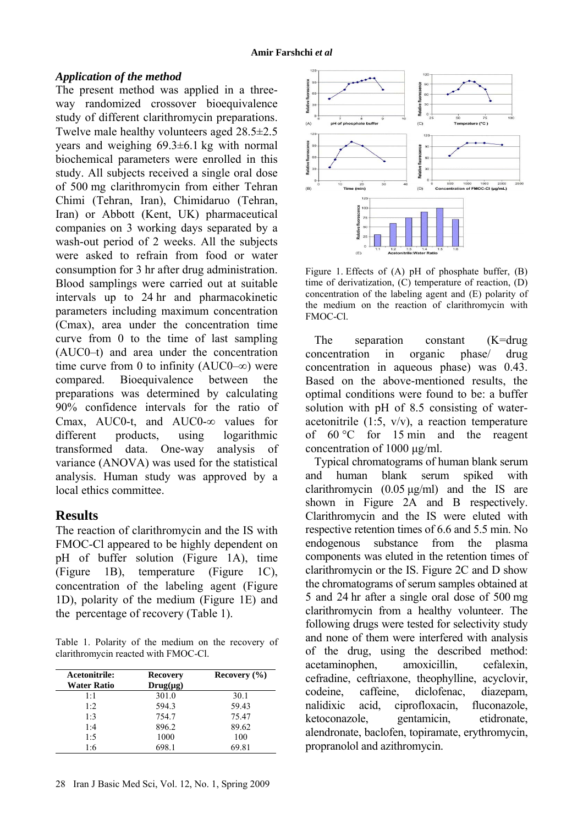#### *Application of the method*

The present method was applied in a threeway randomized crossover bioequivalence study of different clarithromycin preparations. Twelve male healthy volunteers aged 28.5±2.5 years and weighing 69.3±6.1 kg with normal biochemical parameters were enrolled in this study. All subjects received a single oral dose of 500 mg clarithromycin from either Tehran Chimi (Tehran, Iran), Chimidaruo (Tehran, Iran) or Abbott (Kent, UK) pharmaceutical companies on 3 working days separated by a wash-out period of 2 weeks. All the subjects were asked to refrain from food or water consumption for 3 hr after drug administration. Blood samplings were carried out at suitable intervals up to 24 hr and pharmacokinetic parameters including maximum concentration (Cmax), area under the concentration time curve from 0 to the time of last sampling (AUC0–t) and area under the concentration time curve from 0 to infinity (AUC0–∞) were compared. Bioequivalence between the preparations was determined by calculating 90% confidence intervals for the ratio of Cmax, AUC0-t, and AUC0-∞ values for different products, using logarithmic transformed data. One-way analysis of variance (ANOVA) was used for the statistical analysis. Human study was approved by a local ethics committee.

## **Results**

The reaction of clarithromycin and the IS with FMOC-Cl appeared to be highly dependent on pH of buffer solution (Figure 1A), time (Figure 1B), temperature (Figure 1C), concentration of the labeling agent (Figure 1D), polarity of the medium (Figure 1E) and the percentage of recovery (Table 1).

Table 1. Polarity of the medium on the recovery of clarithromycin reacted with FMOC-Cl.

| Acetonitrile: | <b>Recovery</b> | Recovery $(\% )$ |  |
|---------------|-----------------|------------------|--|
| Water Ratio   | $Drug(\mu g)$   |                  |  |
| $1 \cdot 1$   | 301.0           | 30.1             |  |
| 1.2           | 594.3           | 59.43            |  |
| 1.3           | 754.7           | 75.47            |  |
| 1:4           | 896.2           | 89.62            |  |
| 1:5           | 1000            | 100              |  |
| 1:6           | 698.1           | 69.81            |  |



Figure 1. Effects of (A) pH of phosphate buffer, (B) time of derivatization, (C) temperature of reaction, (D) concentration of the labeling agent and (E) polarity of the medium on the reaction of clarithromycin with FMOC-Cl.

The separation constant (K=drug concentration in organic phase/ drug concentration in aqueous phase) was 0.43. Based on the above-mentioned results, the optimal conditions were found to be: a buffer solution with pH of 8.5 consisting of wateracetonitrile  $(1:5, v/v)$ , a reaction temperature of 60 °C for 15 min and the reagent concentration of 1000 ug/ml.

Typical chromatograms of human blank serum and human blank serum spiked with clarithromycin  $(0.05 \text{ kg/ml})$  and the IS are shown in Figure 2A and B respectively. Clarithromycin and the IS were eluted with respective retention times of 6.6 and 5.5 min. No endogenous substance from the plasma components was eluted in the retention times of clarithromycin or the IS. Figure 2C and D show the chromatograms of serum samples obtained at 5 and 24 hr after a single oral dose of 500 mg clarithromycin from a healthy volunteer. The following drugs were tested for selectivity study and none of them were interfered with analysis of the drug, using the described method: acetaminophen, amoxicillin, cefalexin, cefradine, ceftriaxone, theophylline, acyclovir, codeine, caffeine, diclofenac, diazepam, nalidixic acid, ciprofloxacin, fluconazole, ketoconazole, gentamicin, etidronate, alendronate, baclofen, topiramate, erythromycin, propranolol and azithromycin.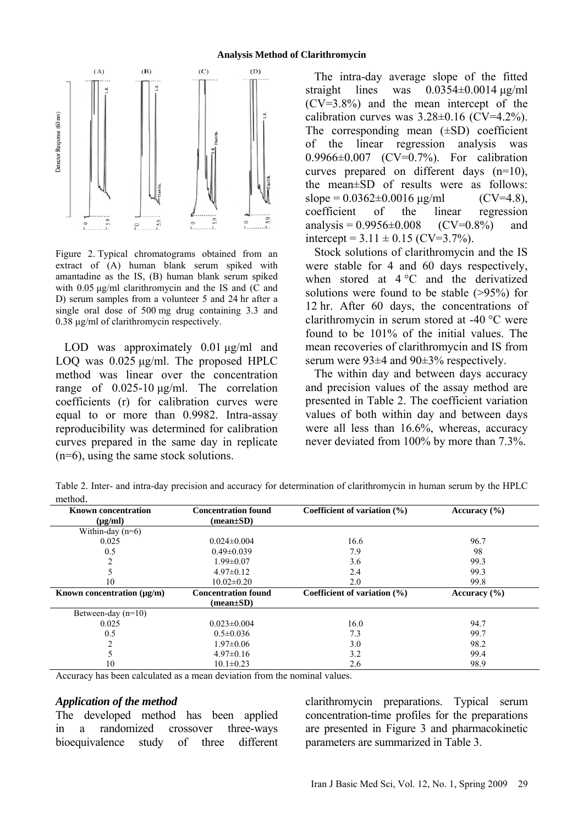

Figure 2. Typical chromatograms obtained from an extract of (A) human blank serum spiked with amantadine as the IS, (B) human blank serum spiked with  $0.05 \mu g/ml$  clarithromycin and the IS and (C and D) serum samples from a volunteer 5 and 24 hr after a single oral dose of 500 mg drug containing 3.3 and 0.38 µg/ml of clarithromycin respectively.

LOD was approximately 0.01  $\mu$ g/ml and LOQ was  $0.025 \mu g/ml$ . The proposed HPLC method was linear over the concentration range of 0.025-10 µg/ml. The correlation coefficients (r) for calibration curves were equal to or more than 0.9982. Intra-assay reproducibility was determined for calibration curves prepared in the same day in replicate (n=6), using the same stock solutions.

The intra-day average slope of the fitted straight lines was  $0.0354\pm0.0014 \,\mu g/ml$ (CV=3.8%) and the mean intercept of the calibration curves was  $3.28\pm0.16$  (CV=4.2%). The corresponding mean  $(\pm SD)$  coefficient of the linear regression analysis was 0.9966±0.007 (CV=0.7%). For calibration curves prepared on different days (n=10), the mean±SD of results were as follows: slope =  $0.0362 \pm 0.0016$  ug/ml (CV=4.8), coefficient of the linear regression analysis =  $0.9956 \pm 0.008$  (CV=0.8%) and intercept =  $3.11 \pm 0.15$  (CV=3.7%).

Stock solutions of clarithromycin and the IS were stable for 4 and 60 days respectively, when stored at 4 °C and the derivatized solutions were found to be stable (>95%) for 12 hr. After 60 days, the concentrations of clarithromycin in serum stored at -40 °C were found to be 101% of the initial values. The mean recoveries of clarithromycin and IS from serum were 93±4 and 90±3% respectively.

The within day and between days accuracy and precision values of the assay method are presented in Table 2. The coefficient variation values of both within day and between days were all less than 16.6%, whereas, accuracy never deviated from 100% by more than 7.3%.

Table 2. Inter- and intra-day precision and accuracy for determination of clarithromycin in human serum by the HPLC method.

| <b>Known concentration</b>      | <b>Concentration found</b> | Coefficient of variation $(\% )$ | Accuracy $(\% )$ |
|---------------------------------|----------------------------|----------------------------------|------------------|
| $(\mu g/ml)$                    | $mean \pm SD$              |                                  |                  |
| Within-day $(n=6)$              |                            |                                  |                  |
| 0.025                           | $0.024 \pm 0.004$          | 16.6                             | 96.7             |
| 0.5                             | $0.49 \pm 0.039$           | 7.9                              | 98               |
| $\mathfrak{D}$                  | $1.99 \pm 0.07$            | 3.6                              | 99.3             |
|                                 | $4.97\pm0.12$              | 2.4                              | 99.3             |
| 10                              | $10.02 \pm 0.20$           | 2.0                              | 99.8             |
| Known concentration $(\mu g/m)$ | <b>Concentration found</b> | Coefficient of variation $(\% )$ | Accuracy $(\% )$ |
|                                 | $mean \pm SD$              |                                  |                  |
| Between-day $(n=10)$            |                            |                                  |                  |
| 0.025                           | $0.023 \pm 0.004$          | 16.0                             | 94.7             |
| 0.5                             | $0.5 \pm 0.036$            | 7.3                              | 99.7             |
| ◠                               | $1.97 \pm 0.06$            | 3.0                              | 98.2             |
|                                 | $4.97\pm0.16$              | 3.2                              | 99.4             |
| 10                              | $10.1 \pm 0.23$            | 2.6                              | 98.9             |

Accuracy has been calculated as a mean deviation from the nominal values.

#### *Application of the method*

The developed method has been applied in a randomized crossover three-ways bioequivalence study of three different

clarithromycin preparations. Typical serum concentration-time profiles for the preparations are presented in Figure 3 and pharmacokinetic parameters are summarized in Table 3.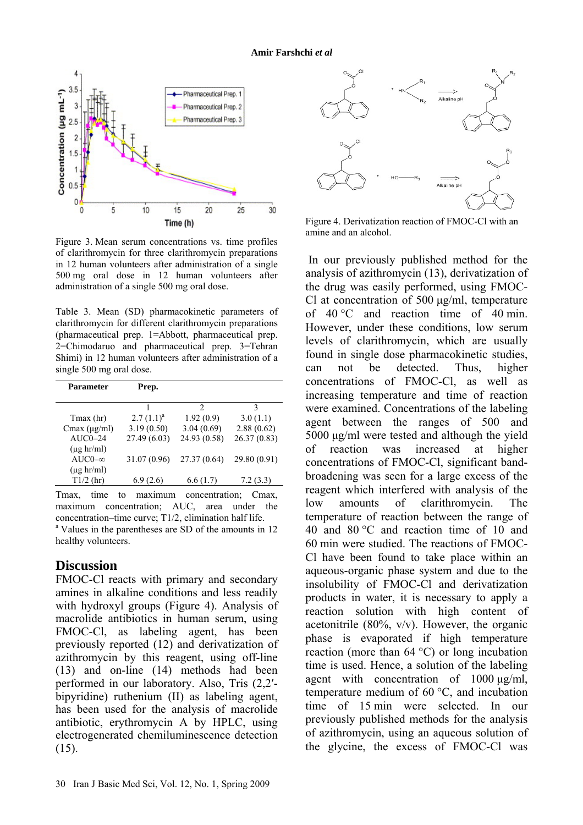

Figure 3. Mean serum concentrations vs. time profiles of clarithromycin for three clarithromycin preparations in 12 human volunteers after administration of a single 500 mg oral dose in 12 human volunteers after administration of a single 500 mg oral dose.

Table 3. Mean (SD) pharmacokinetic parameters of clarithromycin for different clarithromycin preparations (pharmaceutical prep. 1=Abbott, pharmaceutical prep. 2=Chimodaruo and pharmaceutical prep. 3=Tehran Shimi) in 12 human volunteers after administration of a single 500 mg oral dose.

| Prep.          |              |              |
|----------------|--------------|--------------|
|                |              |              |
|                | 2            | 3            |
| $2.7(1.1)^{a}$ | 1.92(0.9)    | 3.0(1.1)     |
| 3.19(0.50)     | 3.04(0.69)   | 2.88(0.62)   |
| 27.49 (6.03)   | 24.93 (0.58) | 26.37(0.83)  |
|                |              |              |
| 31.07 (0.96)   | 27.37(0.64)  | 29.80 (0.91) |
|                |              |              |
| 6.9(2.6)       | 6.6(1.7)     | 7.2(3.3)     |
|                |              |              |

Tmax, time to maximum concentration; Cmax, maximum concentration; AUC, area under the concentration–time curve; T1/2, elimination half life.

<sup>a</sup> Values in the parentheses are SD of the amounts in 12 healthy volunteers.

#### **Discussion**

FMOC-Cl reacts with primary and secondary amines in alkaline conditions and less readily with hydroxyl groups (Figure 4). Analysis of macrolide antibiotics in human serum, using FMOC-Cl, as labeling agent, has been previously reported (12) and derivatization of azithromycin by this reagent, using off-line (13) and on-line (14) methods had been performed in our laboratory. Also, Tris (2,2′ bipyridine) ruthenium (II) as labeling agent, has been used for the analysis of macrolide antibiotic, erythromycin A by HPLC, using electrogenerated chemiluminescence detection  $(15)$ .



Figure 4. Derivatization reaction of FMOC-Cl with an amine and an alcohol.

 In our previously published method for the analysis of azithromycin (13), derivatization of the drug was easily performed, using FMOC-Cl at concentration of 500 µg/ml, temperature of 40 °C and reaction time of 40 min. However, under these conditions, low serum levels of clarithromycin, which are usually found in single dose pharmacokinetic studies, can not be detected. Thus, higher concentrations of FMOC-Cl, as well as increasing temperature and time of reaction were examined. Concentrations of the labeling agent between the ranges of 500 and 5000 µg/ml were tested and although the yield of reaction was increased at higher concentrations of FMOC-Cl, significant bandbroadening was seen for a large excess of the reagent which interfered with analysis of the low amounts of clarithromycin. The temperature of reaction between the range of 40 and 80 °C and reaction time of 10 and 60 min were studied. The reactions of FMOC-Cl have been found to take place within an aqueous-organic phase system and due to the insolubility of FMOC-Cl and derivatization products in water, it is necessary to apply a reaction solution with high content of acetonitrile (80%, v/v). However, the organic phase is evaporated if high temperature reaction (more than 64 °C) or long incubation time is used. Hence, a solution of the labeling agent with concentration of  $1000 \mu g/ml$ , temperature medium of 60 °C, and incubation time of 15 min were selected. In our previously published methods for the analysis of azithromycin, using an aqueous solution of the glycine, the excess of FMOC-Cl was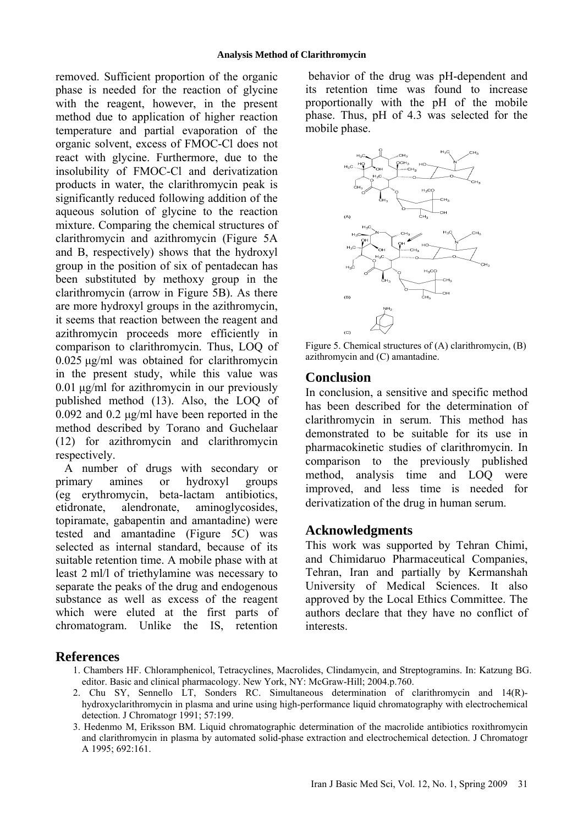removed. Sufficient proportion of the organic phase is needed for the reaction of glycine with the reagent, however, in the present method due to application of higher reaction temperature and partial evaporation of the organic solvent, excess of FMOC-Cl does not react with glycine. Furthermore, due to the insolubility of FMOC-Cl and derivatization products in water, the clarithromycin peak is significantly reduced following addition of the aqueous solution of glycine to the reaction mixture. Comparing the chemical structures of clarithromycin and azithromycin (Figure 5A and B, respectively) shows that the hydroxyl group in the position of six of pentadecan has been substituted by methoxy group in the clarithromycin (arrow in Figure 5B). As there are more hydroxyl groups in the azithromycin, it seems that reaction between the reagent and azithromycin proceeds more efficiently in comparison to clarithromycin. Thus, LOQ of 0.025 µg/ml was obtained for clarithromycin in the present study, while this value was 0.01 µg/ml for azithromycin in our previously published method (13). Also, the LOQ of 0.092 and 0.2 µg/ml have been reported in the method described by Torano and Guchelaar (12) for azithromycin and clarithromycin respectively.

A number of drugs with secondary or primary amines or hydroxyl groups (eg erythromycin, beta-lactam antibiotics, etidronate, alendronate, aminoglycosides, topiramate, gabapentin and amantadine) were tested and amantadine (Figure 5C) was selected as internal standard, because of its suitable retention time. A mobile phase with at least 2 ml/l of triethylamine was necessary to separate the peaks of the drug and endogenous substance as well as excess of the reagent which were eluted at the first parts of chromatogram. Unlike the IS, retention

 behavior of the drug was pH-dependent and its retention time was found to increase proportionally with the pH of the mobile phase. Thus, pH of 4.3 was selected for the mobile phase.



Figure 5. Chemical structures of (A) clarithromycin, (B) azithromycin and (C) amantadine.

## **Conclusion**

In conclusion, a sensitive and specific method has been described for the determination of clarithromycin in serum. This method has demonstrated to be suitable for its use in pharmacokinetic studies of clarithromycin. In comparison to the previously published method, analysis time and LOQ were improved, and less time is needed for derivatization of the drug in human serum.

## **Acknowledgments**

This work was supported by Tehran Chimi, and Chimidaruo Pharmaceutical Companies, Tehran, Iran and partially by Kermanshah University of Medical Sciences. It also approved by the Local Ethics Committee. The authors declare that they have no conflict of interests.

### **References**

- 1. Chambers HF. Chloramphenicol, Tetracyclines, Macrolides, Clindamycin, and Streptogramins. In: Katzung BG. editor. Basic and clinical pharmacology. New York, NY: McGraw-Hill; 2004.p.760.
- 2. Chu SY, Sennello LT, Sonders RC. Simultaneous determination of clarithromycin and 14(R)hydroxyclarithromycin in plasma and urine using high-performance liquid chromatography with electrochemical detection. J Chromatogr 1991; 57:199.
- 3. Hedenmo M, Eriksson BM. Liquid chromatographic determination of the macrolide antibiotics roxithromycin and clarithromycin in plasma by automated solid-phase extraction and electrochemical detection. J Chromatogr A 1995; 692:161.